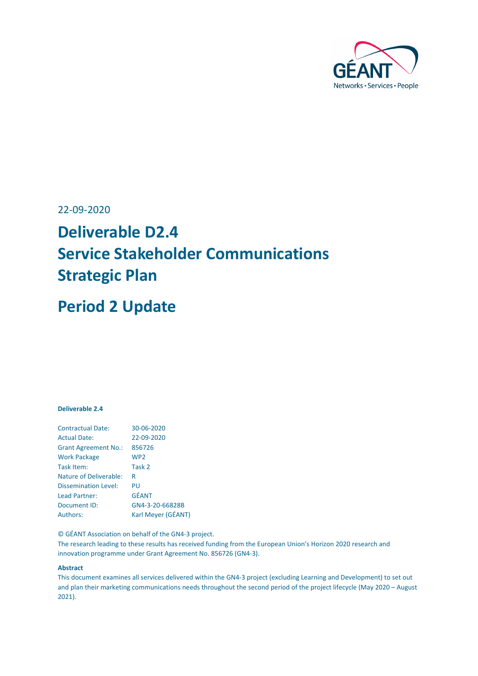

## 22-09-2020

# **Deliverable D2.4 Service Stakeholder Communications Strategic Plan**

## **Period 2 Update**

### **Deliverable 2.4**

| <b>Contractual Date:</b>      | 30-06-2020         |
|-------------------------------|--------------------|
| <b>Actual Date:</b>           | 22-09-2020         |
| <b>Grant Agreement No.:</b>   | 856726             |
| <b>Work Package</b>           | WP <sub>2</sub>    |
| Task Item:                    | Task 2             |
| <b>Nature of Deliverable:</b> | R                  |
| Dissemination Level:          | PU                 |
| Lead Partner:                 | <b>GÉANT</b>       |
| Document ID:                  | GN4-3-20-66828B    |
| Authors:                      | Karl Meyer (GÉANT) |

© GÉANT Association on behalf of the GN4-3 project.

The research leading to these results has received funding from the European Union's Horizon 2020 research and innovation programme under Grant Agreement No. 856726 (GN4-3).

#### **Abstract**

This document examines all services delivered within the GN4-3 project (excluding Learning and Development) to set out and plan their marketing communications needs throughout the second period of the project lifecycle (May 2020 – August 2021).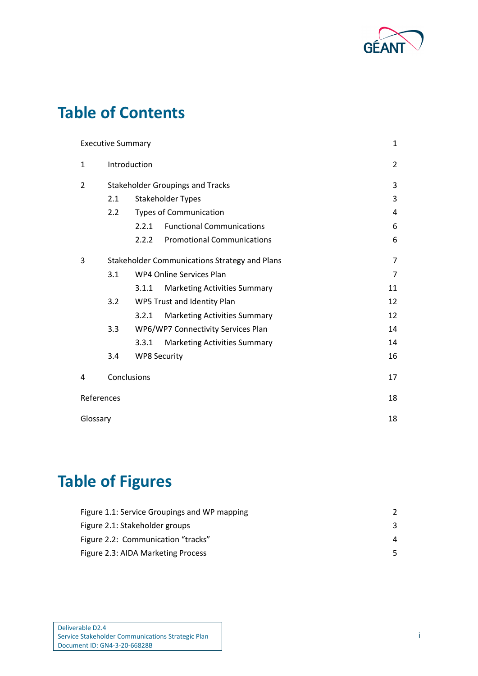

# **Table of Contents**

|            | <b>Executive Summary</b> |                     |                                               | $\mathbf{1}$   |
|------------|--------------------------|---------------------|-----------------------------------------------|----------------|
| 1          | Introduction             |                     |                                               | $\overline{2}$ |
| 2          |                          |                     | <b>Stakeholder Groupings and Tracks</b>       | 3              |
|            | 2.1                      |                     | Stakeholder Types                             | 3              |
|            | 2.2                      |                     | <b>Types of Communication</b>                 | 4              |
|            |                          | 2.2.1               | <b>Functional Communications</b>              | 6              |
|            |                          | 2.2.2               | <b>Promotional Communications</b>             | 6              |
| 3          |                          |                     | Stakeholder Communications Strategy and Plans | $\overline{7}$ |
|            | 3.1                      |                     | WP4 Online Services Plan                      | 7              |
|            |                          | 3.1.1               | <b>Marketing Activities Summary</b>           | 11             |
|            | 3.2                      |                     | WP5 Trust and Identity Plan                   | 12             |
|            |                          | 3.2.1               | <b>Marketing Activities Summary</b>           | 12             |
|            | 3.3                      |                     | WP6/WP7 Connectivity Services Plan            | 14             |
|            |                          | 3.3.1               | <b>Marketing Activities Summary</b>           | 14             |
|            | 3.4                      | <b>WP8 Security</b> |                                               | 16             |
| 4          | Conclusions              |                     |                                               | 17             |
| References |                          |                     |                                               | 18             |
| Glossary   |                          |                     |                                               | 18             |

# **Table of Figures**

| Figure 1.1: Service Groupings and WP mapping |   |
|----------------------------------------------|---|
| Figure 2.1: Stakeholder groups               |   |
| Figure 2.2: Communication "tracks"           | 4 |
| Figure 2.3: AIDA Marketing Process           | 5 |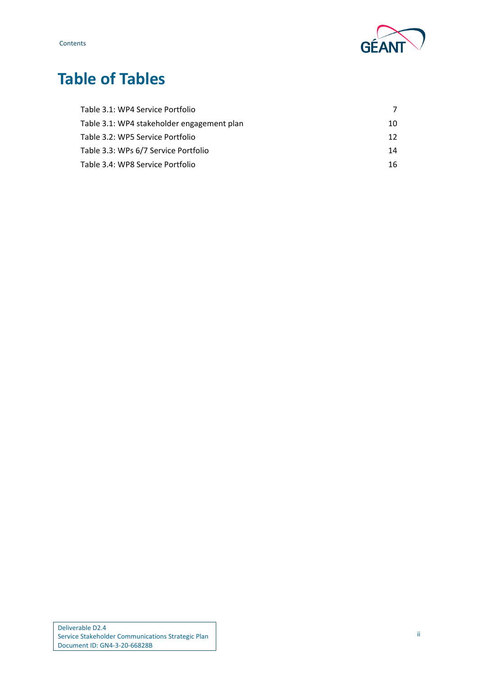

# **Table of Tables**

| Table 3.1: WP4 Service Portfolio           |                 |
|--------------------------------------------|-----------------|
| Table 3.1: WP4 stakeholder engagement plan | 10              |
| Table 3.2: WP5 Service Portfolio           | 12 <sup>°</sup> |
| Table 3.3: WPs 6/7 Service Portfolio       | 14              |
| Table 3.4: WP8 Service Portfolio           | 16.             |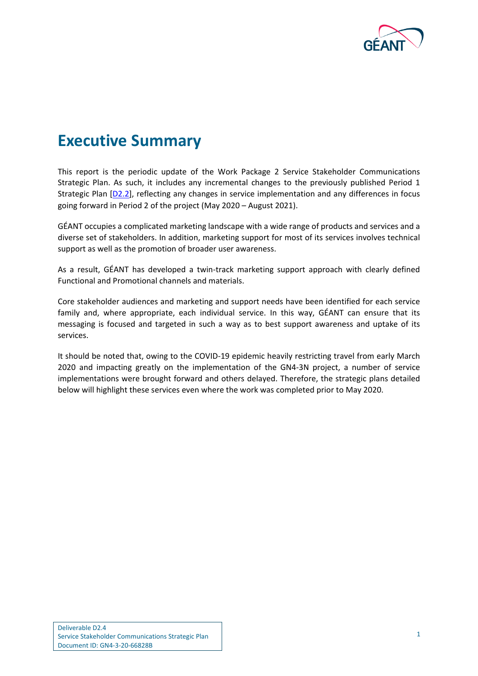

# <span id="page-3-0"></span>**Executive Summary**

This report is the periodic update of the Work Package 2 Service Stakeholder Communications Strategic Plan. As such, it includes any incremental changes to the previously published Period 1 Strategic Plan [\[D2.2\]](#page-20-2), reflecting any changes in service implementation and any differences in focus going forward in Period 2 of the project (May 2020 – August 2021).

GÉANT occupies a complicated marketing landscape with a wide range of products and services and a diverse set of stakeholders. In addition, marketing support for most of its services involves technical support as well as the promotion of broader user awareness.

As a result, GÉANT has developed a twin-track marketing support approach with clearly defined Functional and Promotional channels and materials.

Core stakeholder audiences and marketing and support needs have been identified for each service family and, where appropriate, each individual service. In this way, GÉANT can ensure that its messaging is focused and targeted in such a way as to best support awareness and uptake of its services.

It should be noted that, owing to the COVID-19 epidemic heavily restricting travel from early March 2020 and impacting greatly on the implementation of the GN4-3N project, a number of service implementations were brought forward and others delayed. Therefore, the strategic plans detailed below will highlight these services even where the work was completed prior to May 2020.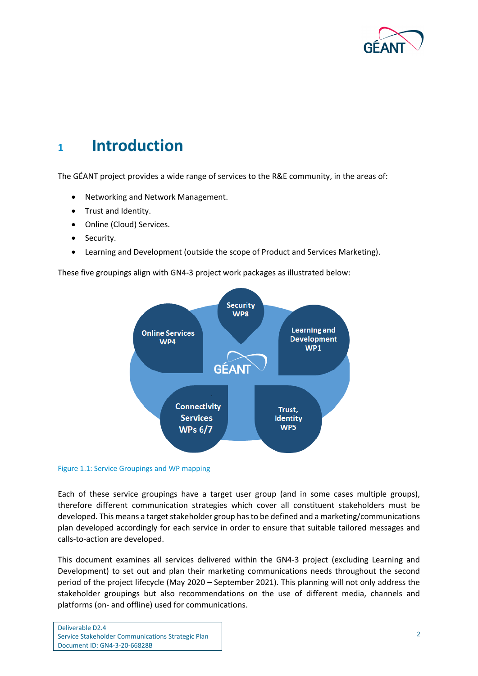

## <span id="page-4-0"></span>**<sup>1</sup> Introduction**

The GÉANT project provides a wide range of services to the R&E community, in the areas of:

- Networking and Network Management.
- Trust and Identity.
- Online (Cloud) Services.
- Security.
- Learning and Development (outside the scope of Product and Services Marketing).

These five groupings align with GN4-3 project work packages as illustrated below:



#### <span id="page-4-1"></span>Figure 1.1: Service Groupings and WP mapping

Each of these service groupings have a target user group (and in some cases multiple groups), therefore different communication strategies which cover all constituent stakeholders must be developed. This means a target stakeholder group hasto be defined and a marketing/communications plan developed accordingly for each service in order to ensure that suitable tailored messages and calls-to-action are developed.

This document examines all services delivered within the GN4-3 project (excluding Learning and Development) to set out and plan their marketing communications needs throughout the second period of the project lifecycle (May 2020 – September 2021). This planning will not only address the stakeholder groupings but also recommendations on the use of different media, channels and platforms (on- and offline) used for communications.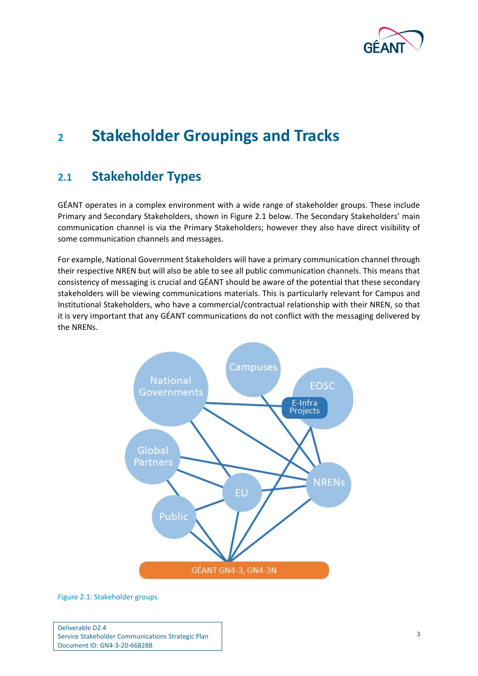

## <span id="page-5-0"></span>**<sup>2</sup> Stakeholder Groupings and Tracks**

## <span id="page-5-1"></span>**2.1 Stakeholder Types**

GÉANT operates in a complex environment with a wide range of stakeholder groups. These include Primary and Secondary Stakeholders, shown in [Figure 2.1](#page-5-2) below. The Secondary Stakeholders' main communication channel is via the Primary Stakeholders; however they also have direct visibility of some communication channels and messages.

For example, National Government Stakeholders will have a primary communication channel through their respective NREN but will also be able to see all public communication channels. This means that consistency of messaging is crucial and GÉANT should be aware of the potential that these secondary stakeholders will be viewing communications materials. This is particularly relevant for Campus and Institutional Stakeholders, who have a commercial/contractual relationship with their NREN, so that it is very important that any GÉANT communications do not conflict with the messaging delivered by the NRENs.



<span id="page-5-2"></span>Figure 2.1: Stakeholder groups

Deliverable D2.4 Service Stakeholder Communications Strategic Plan Document ID: GN4-3-20-66828B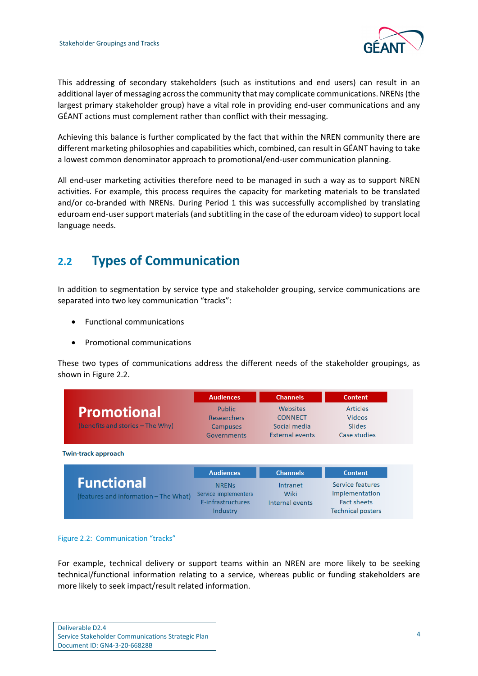

This addressing of secondary stakeholders (such as institutions and end users) can result in an additional layer of messaging across the community that may complicate communications. NRENs (the largest primary stakeholder group) have a vital role in providing end-user communications and any GÉANT actions must complement rather than conflict with their messaging.

Achieving this balance is further complicated by the fact that within the NREN community there are different marketing philosophies and capabilities which, combined, can result in GÉANT having to take a lowest common denominator approach to promotional/end-user communication planning.

All end-user marketing activities therefore need to be managed in such a way as to support NREN activities. For example, this process requires the capacity for marketing materials to be translated and/or co-branded with NRENs. During Period 1 this was successfully accomplished by translating eduroam end-user support materials (and subtitling in the case of the eduroam video) to support local language needs.

## <span id="page-6-0"></span>**2.2 Types of Communication**

In addition to segmentation by service type and stakeholder grouping, service communications are separated into two key communication "tracks":

- Functional communications
- Promotional communications

These two types of communications address the different needs of the stakeholder groupings, as shown in [Figure 2.2.](#page-6-1)

|                                       | <b>Audiences</b>              | <b>Channels</b>        | <b>Content</b>                                 |
|---------------------------------------|-------------------------------|------------------------|------------------------------------------------|
| <b>Promotional</b>                    | Public                        | Websites               | <b>Articles</b>                                |
|                                       | <b>Researchers</b>            | <b>CONNECT</b>         | <b>Videos</b>                                  |
| (benefits and stories - The Why)      | <b>Campuses</b>               | Social media           | <b>Slides</b>                                  |
|                                       | Governments                   | <b>External events</b> | Case studies                                   |
| <b>Twin-track approach</b>            |                               |                        |                                                |
|                                       | <b>Audiences</b>              | <b>Channels</b>        | <b>Content</b>                                 |
| <b>Functional</b>                     | <b>NRENs</b>                  | Intranet               | Service features                               |
| (features and information – The What) | Service implementers          | Wiki                   | Implementation                                 |
|                                       | E-infrastructures<br>Industry | Internal events        | <b>Fact sheets</b><br><b>Technical posters</b> |

<span id="page-6-1"></span>Figure 2.2: Communication "tracks"

For example, technical delivery or support teams within an NREN are more likely to be seeking technical/functional information relating to a service, whereas public or funding stakeholders are more likely to seek impact/result related information.

| Deliverable D2.4                                  |
|---------------------------------------------------|
| Service Stakeholder Communications Strategic Plan |
| Document ID: GN4-3-20-66828B                      |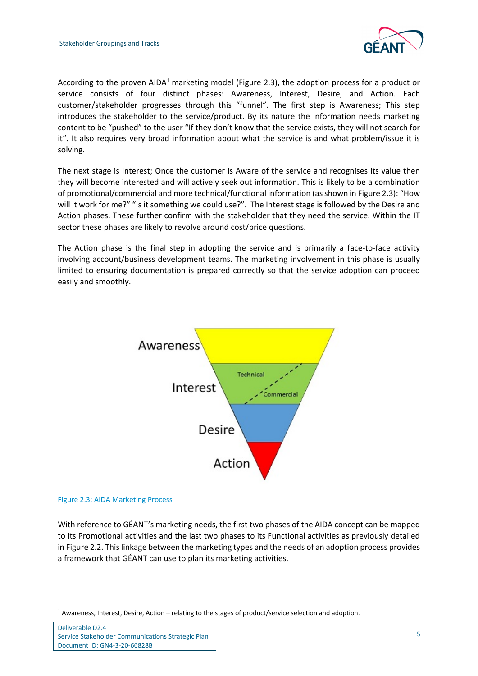

According to the proven AIDA<sup>[1](#page-7-1)</sup> marketing model [\(Figure 2.3\)](#page-7-0), the adoption process for a product or service consists of four distinct phases: Awareness, Interest, Desire, and Action. Each customer/stakeholder progresses through this "funnel". The first step is Awareness; This step introduces the stakeholder to the service/product. By its nature the information needs marketing content to be "pushed" to the user "If they don't know that the service exists, they will not search for it". It also requires very broad information about what the service is and what problem/issue it is solving.

The next stage is Interest; Once the customer is Aware of the service and recognises its value then they will become interested and will actively seek out information. This is likely to be a combination of promotional/commercial and more technical/functional information (as shown in [Figure 2.3\)](#page-7-0): "How will it work for me?" "Is it something we could use?". The Interest stage is followed by the Desire and Action phases. These further confirm with the stakeholder that they need the service. Within the IT sector these phases are likely to revolve around cost/price questions.

The Action phase is the final step in adopting the service and is primarily a face-to-face activity involving account/business development teams. The marketing involvement in this phase is usually limited to ensuring documentation is prepared correctly so that the service adoption can proceed easily and smoothly.



#### <span id="page-7-0"></span>Figure 2.3: AIDA Marketing Process

With reference to GÉANT's marketing needs, the first two phases of the AIDA concept can be mapped to its Promotional activities and the last two phases to its Functional activities as previously detailed in Figure 2.2. This linkage between the marketing types and the needs of an adoption process provides a framework that GÉANT can use to plan its marketing activities.

<span id="page-7-1"></span> $1$  Awareness, Interest, Desire, Action – relating to the stages of product/service selection and adoption.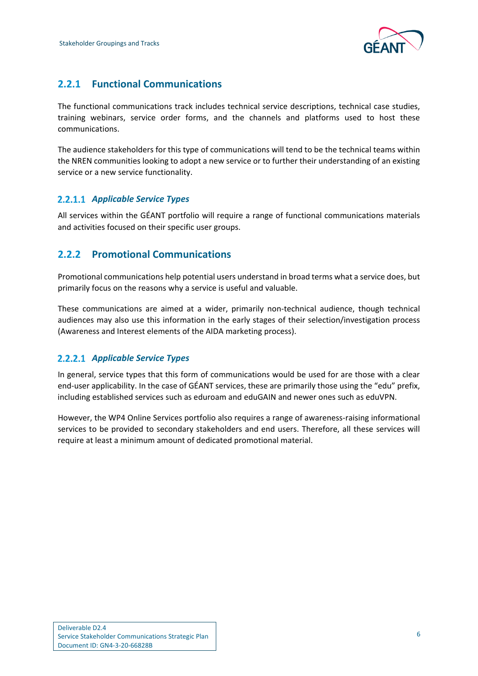

## <span id="page-8-0"></span>**2.2.1 Functional Communications**

The functional communications track includes technical service descriptions, technical case studies, training webinars, service order forms, and the channels and platforms used to host these communications.

The audience stakeholders for this type of communications will tend to be the technical teams within the NREN communities looking to adopt a new service or to further their understanding of an existing service or a new service functionality.

## *Applicable Service Types*

All services within the GÉANT portfolio will require a range of functional communications materials and activities focused on their specific user groups.

## <span id="page-8-1"></span>**2.2.2 Promotional Communications**

Promotional communications help potential users understand in broad terms what a service does, but primarily focus on the reasons why a service is useful and valuable.

These communications are aimed at a wider, primarily non-technical audience, though technical audiences may also use this information in the early stages of their selection/investigation process (Awareness and Interest elements of the AIDA marketing process).

## *Applicable Service Types*

In general, service types that this form of communications would be used for are those with a clear end-user applicability. In the case of GÉANT services, these are primarily those using the "edu" prefix, including established services such as eduroam and eduGAIN and newer ones such as eduVPN.

However, the WP4 Online Services portfolio also requires a range of awareness-raising informational services to be provided to secondary stakeholders and end users. Therefore, all these services will require at least a minimum amount of dedicated promotional material.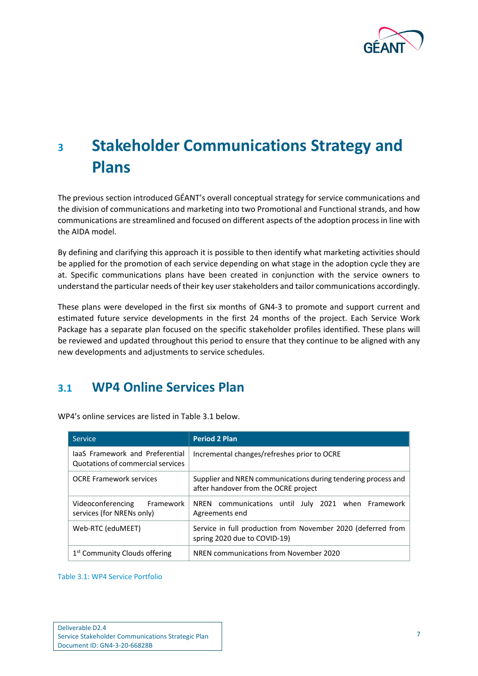

# <span id="page-9-0"></span>**<sup>3</sup> Stakeholder Communications Strategy and Plans**

The previous section introduced GÉANT's overall conceptual strategy for service communications and the division of communications and marketing into two Promotional and Functional strands, and how communications are streamlined and focused on different aspects of the adoption process in line with the AIDA model.

By defining and clarifying this approach it is possible to then identify what marketing activities should be applied for the promotion of each service depending on what stage in the adoption cycle they are at. Specific communications plans have been created in conjunction with the service owners to understand the particular needs of their key user stakeholders and tailor communications accordingly.

These plans were developed in the first six months of GN4-3 to promote and support current and estimated future service developments in the first 24 months of the project. Each Service Work Package has a separate plan focused on the specific stakeholder profiles identified. These plans will be reviewed and updated throughout this period to ensure that they continue to be aligned with any new developments and adjustments to service schedules.

## <span id="page-9-1"></span>**3.1 WP4 Online Services Plan**

| <b>Service</b>                                                       | <b>Period 2 Plan</b>                                                                                  |
|----------------------------------------------------------------------|-------------------------------------------------------------------------------------------------------|
| laaS Framework and Preferential<br>Quotations of commercial services | Incremental changes/refreshes prior to OCRE                                                           |
| <b>OCRE Framework services</b>                                       | Supplier and NREN communications during tendering process and<br>after handover from the OCRE project |
| Videoconferencing<br>Framework<br>services (for NRENs only)          | communications until July 2021 when Framework<br>NREN<br>Agreements end                               |
| Web-RTC (eduMEET)                                                    | Service in full production from November 2020 (deferred from<br>spring 2020 due to COVID-19)          |
| 1 <sup>st</sup> Community Clouds offering                            | NREN communications from November 2020                                                                |

WP4's online services are listed i[n Table 3.1](#page-9-2) below.

<span id="page-9-2"></span>Table 3.1: WP4 Service Portfolio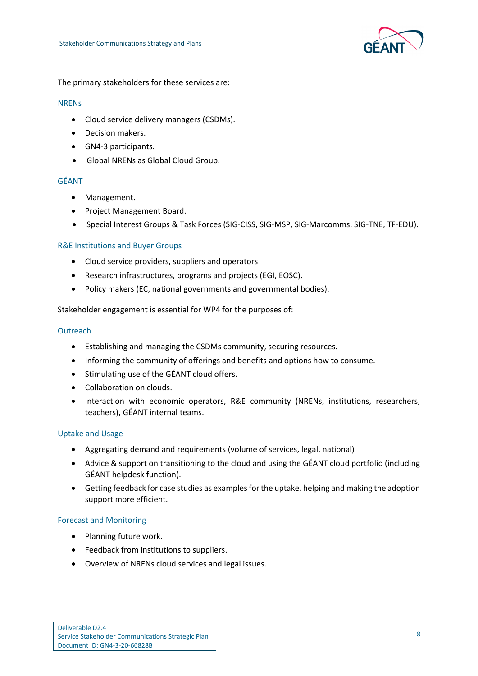

The primary stakeholders for these services are:

#### NRENs

- Cloud service delivery managers (CSDMs).
- Decision makers.
- GN4-3 participants.
- Global NRENs as Global Cloud Group.

### GÉANT

- Management.
- Project Management Board.
- Special Interest Groups & Task Forces (SIG-CISS, SIG-MSP, SIG-Marcomms, SIG-TNE, TF-EDU).

### R&E Institutions and Buyer Groups

- Cloud service providers, suppliers and operators.
- Research infrastructures, programs and projects (EGI, EOSC).
- Policy makers (EC, national governments and governmental bodies).

Stakeholder engagement is essential for WP4 for the purposes of:

#### **Outreach**

- Establishing and managing the CSDMs community, securing resources.
- Informing the community of offerings and benefits and options how to consume.
- Stimulating use of the GÉANT cloud offers.
- Collaboration on clouds.
- interaction with economic operators, R&E community (NRENs, institutions, researchers, teachers), GÉANT internal teams.

### Uptake and Usage

- Aggregating demand and requirements (volume of services, legal, national)
- Advice & support on transitioning to the cloud and using the GÉANT cloud portfolio (including GÉANT helpdesk function).
- Getting feedback for case studies as examples for the uptake, helping and making the adoption support more efficient.

### Forecast and Monitoring

- Planning future work.
- Feedback from institutions to suppliers.
- Overview of NRENs cloud services and legal issues.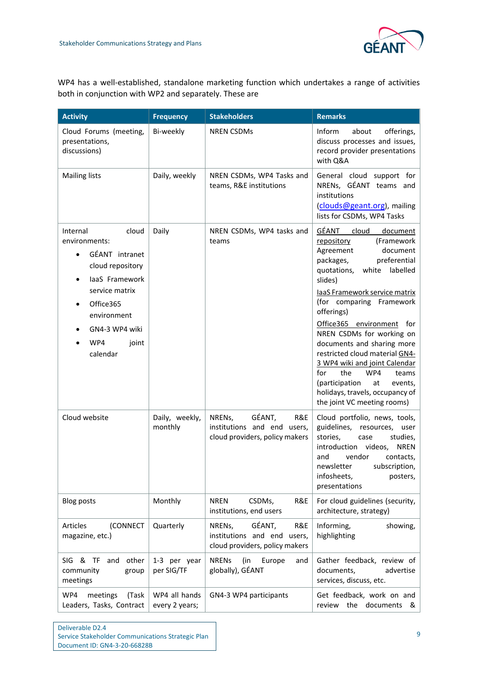

WP4 has a well-established, standalone marketing function which undertakes a range of activities both in conjunction with WP2 and separately. These are

| <b>Activity</b>                                                                                                                                                                                     | <b>Frequency</b>                | <b>Stakeholders</b>                                                                      | <b>Remarks</b>                                                                                                                                                                                                                                                                                                                                                                                                                                                                                                                       |
|-----------------------------------------------------------------------------------------------------------------------------------------------------------------------------------------------------|---------------------------------|------------------------------------------------------------------------------------------|--------------------------------------------------------------------------------------------------------------------------------------------------------------------------------------------------------------------------------------------------------------------------------------------------------------------------------------------------------------------------------------------------------------------------------------------------------------------------------------------------------------------------------------|
| Cloud Forums (meeting,<br>presentations,<br>discussions)                                                                                                                                            | Bi-weekly                       | <b>NREN CSDMs</b>                                                                        | Inform<br>about<br>offerings,<br>discuss processes and issues,<br>record provider presentations<br>with Q&A                                                                                                                                                                                                                                                                                                                                                                                                                          |
| <b>Mailing lists</b>                                                                                                                                                                                | Daily, weekly                   | NREN CSDMs, WP4 Tasks and<br>teams, R&E institutions                                     | General cloud support for<br>NRENs, GÉANT teams and<br>institutions<br>(clouds@geant.org), mailing<br>lists for CSDMs, WP4 Tasks                                                                                                                                                                                                                                                                                                                                                                                                     |
| Internal<br>cloud<br>environments:<br>GÉANT intranet<br>$\bullet$<br>cloud repository<br>laaS Framework<br>service matrix<br>Office365<br>environment<br>GN4-3 WP4 wiki<br>WP4<br>joint<br>calendar | Daily                           | NREN CSDMs, WP4 tasks and<br>teams                                                       | GÉANT<br>cloud<br>document<br>(Framework<br>repository<br>document<br>Agreement<br>packages,<br>preferential<br>quotations,<br>white labelled<br>slides)<br>laaS Framework service matrix<br>(for comparing Framework<br>offerings)<br>Office365 environment<br>for<br>NREN CSDMs for working on<br>documents and sharing more<br>restricted cloud material GN4-<br>3 WP4 wiki and joint Calendar<br>for<br>the<br>WP4<br>teams<br>(participation<br>at<br>events,<br>holidays, travels, occupancy of<br>the joint VC meeting rooms) |
| Cloud website                                                                                                                                                                                       | Daily, weekly,<br>monthly       | GÉANT,<br>NRENs,<br>R&E<br>institutions and end users,<br>cloud providers, policy makers | Cloud portfolio, news, tools,<br>guidelines,<br>resources,<br>user<br>stories,<br>studies,<br>case<br>introduction<br>videos,<br><b>NREN</b><br>vendor<br>and<br>contacts,<br>newsletter<br>subscription,<br>infosheets,<br>posters,<br>presentations                                                                                                                                                                                                                                                                                |
| <b>Blog posts</b>                                                                                                                                                                                   | Monthly                         | <b>NREN</b><br>CSDMs,<br>R&E<br>institutions, end users                                  | For cloud guidelines (security,<br>architecture, strategy)                                                                                                                                                                                                                                                                                                                                                                                                                                                                           |
| (CONNECT<br>Articles<br>magazine, etc.)                                                                                                                                                             | Quarterly                       | GÉANT,<br>R&E<br>NRENs,<br>institutions and end users,<br>cloud providers, policy makers | Informing,<br>showing,<br>highlighting                                                                                                                                                                                                                                                                                                                                                                                                                                                                                               |
| SIG & TF<br>other<br>and<br>community<br>group<br>meetings                                                                                                                                          | 1-3 per year<br>per SIG/TF      | <b>NRENs</b><br>(in<br>Europe<br>and<br>globally), GÉANT                                 | Gather feedback, review of<br>documents,<br>advertise<br>services, discuss, etc.                                                                                                                                                                                                                                                                                                                                                                                                                                                     |
| WP4<br>meetings<br>(Task<br>Leaders, Tasks, Contract                                                                                                                                                | WP4 all hands<br>every 2 years; | GN4-3 WP4 participants                                                                   | Get feedback, work on and<br>review the documents &                                                                                                                                                                                                                                                                                                                                                                                                                                                                                  |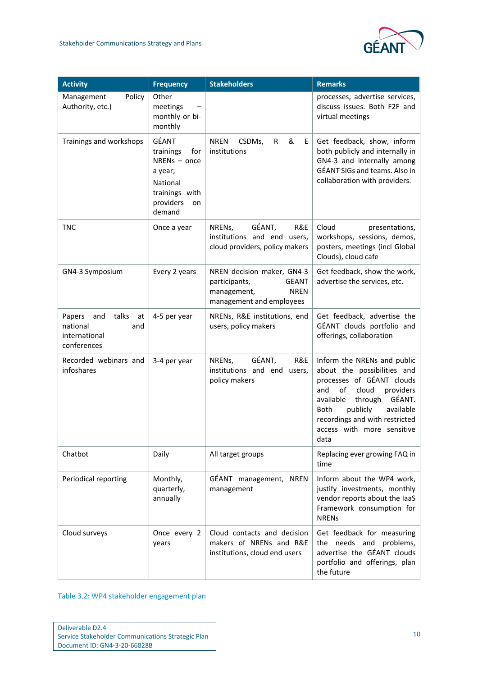

| <b>Activity</b>                                                                 | <b>Frequency</b>                                                                                                  | <b>Stakeholders</b>                                                                                                   | <b>Remarks</b>                                                                                                                                                                                                                                                               |
|---------------------------------------------------------------------------------|-------------------------------------------------------------------------------------------------------------------|-----------------------------------------------------------------------------------------------------------------------|------------------------------------------------------------------------------------------------------------------------------------------------------------------------------------------------------------------------------------------------------------------------------|
| Policy<br>Management<br>Authority, etc.)                                        | Other<br>meetings<br>monthly or bi-<br>monthly                                                                    |                                                                                                                       | processes, advertise services,<br>discuss issues. Both F2F and<br>virtual meetings                                                                                                                                                                                           |
| Trainings and workshops                                                         | GÉANT<br>trainings<br>for<br>$NRENs - once$<br>a year;<br>National<br>trainings with<br>providers<br>on<br>demand | &<br><b>NREN</b><br>CSDMs,<br>$\mathsf{R}$<br>E<br>institutions                                                       | Get feedback, show, inform<br>both publicly and internally in<br>GN4-3 and internally among<br>GÉANT SIGs and teams. Also in<br>collaboration with providers.                                                                                                                |
| <b>TNC</b>                                                                      | Once a year                                                                                                       | GÉANT,<br>R&E<br>NRENs,<br>institutions and end users,<br>cloud providers, policy makers                              | Cloud<br>presentations,<br>workshops, sessions, demos,<br>posters, meetings (incl Global<br>Clouds), cloud cafe                                                                                                                                                              |
| GN4-3 Symposium                                                                 | Every 2 years                                                                                                     | NREN decision maker, GN4-3<br><b>GEANT</b><br>participants,<br>management,<br><b>NREN</b><br>management and employees | Get feedback, show the work,<br>advertise the services, etc.                                                                                                                                                                                                                 |
| talks<br>Papers<br>and<br>at<br>national<br>and<br>international<br>conferences | 4-5 per year                                                                                                      | NRENs, R&E institutions, end<br>users, policy makers                                                                  | Get feedback, advertise the<br>GÉANT clouds portfolio and<br>offerings, collaboration                                                                                                                                                                                        |
| Recorded webinars and<br>infoshares                                             | 3-4 per year                                                                                                      | GÉANT,<br>R&E<br>NRENs,<br>institutions and end users,<br>policy makers                                               | Inform the NRENs and public<br>about the possibilities and<br>processes of GÉANT clouds<br>and<br>of<br>cloud<br>providers<br>GÉANT.<br>available<br>through<br><b>Both</b><br>publicly<br>available<br>recordings and with restricted<br>access with more sensitive<br>data |
| Chatbot                                                                         | Daily                                                                                                             | All target groups                                                                                                     | Replacing ever growing FAQ in<br>time                                                                                                                                                                                                                                        |
| Periodical reporting                                                            | Monthly,<br>quarterly,<br>annually                                                                                | GÉANT management, NREN<br>management                                                                                  | Inform about the WP4 work,<br>justify investments, monthly<br>vendor reports about the laaS<br>Framework consumption for<br><b>NRENs</b>                                                                                                                                     |
| Cloud surveys                                                                   | Once every 2<br>years                                                                                             | Cloud contacts and decision<br>makers of NRENs and R&E<br>institutions, cloud end users                               | Get feedback for measuring<br>the needs and problems,<br>advertise the GÉANT clouds<br>portfolio and offerings, plan<br>the future                                                                                                                                           |

<span id="page-12-0"></span>Table 3.2: WP4 stakeholder engagement plan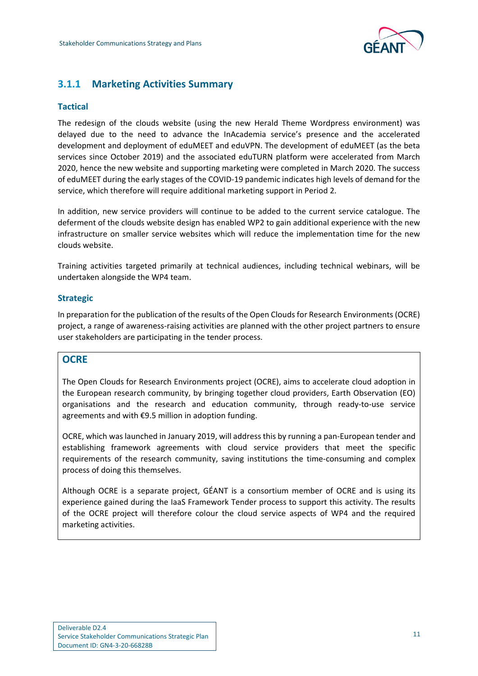

## <span id="page-13-0"></span>**3.1.1 Marketing Activities Summary**

### **Tactical**

The redesign of the clouds website (using the new Herald Theme Wordpress environment) was delayed due to the need to advance the InAcademia service's presence and the accelerated development and deployment of eduMEET and eduVPN. The development of eduMEET (as the beta services since October 2019) and the associated eduTURN platform were accelerated from March 2020, hence the new website and supporting marketing were completed in March 2020. The success of eduMEET during the early stages of the COVID-19 pandemic indicates high levels of demand for the service, which therefore will require additional marketing support in Period 2.

In addition, new service providers will continue to be added to the current service catalogue. The deferment of the clouds website design has enabled WP2 to gain additional experience with the new infrastructure on smaller service websites which will reduce the implementation time for the new clouds website.

Training activities targeted primarily at technical audiences, including technical webinars, will be undertaken alongside the WP4 team.

### **Strategic**

In preparation for the publication of the results of the Open Clouds for Research Environments(OCRE) project, a range of awareness-raising activities are planned with the other project partners to ensure user stakeholders are participating in the tender process.

## **OCRE**

The Open Clouds for Research Environments project (OCRE), aims to accelerate cloud adoption in the European research community, by bringing together cloud providers, Earth Observation (EO) organisations and the research and education community, through ready-to-use service agreements and with €9.5 million in adoption funding.

OCRE, which was launched in January 2019, will address this by running a pan-European tender and establishing framework agreements with cloud service providers that meet the specific requirements of the research community, saving institutions the time-consuming and complex process of doing this themselves.

Although OCRE is a separate project, GÉANT is a consortium member of OCRE and is using its experience gained during the IaaS Framework Tender process to support this activity. The results of the OCRE project will therefore colour the cloud service aspects of WP4 and the required marketing activities.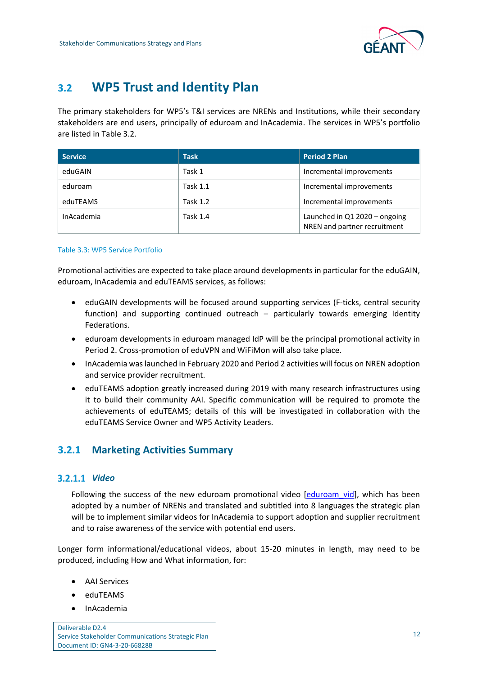

## <span id="page-14-0"></span>**3.2 WP5 Trust and Identity Plan**

The primary stakeholders for WP5's T&I services are NRENs and Institutions, while their secondary stakeholders are end users, principally of eduroam and InAcademia. The services in WP5's portfolio are listed i[n Table 3.2.](#page-14-2)

| <b>Service</b> | <b>Task</b>     | <b>Period 2 Plan</b>                                          |
|----------------|-----------------|---------------------------------------------------------------|
| eduGAIN        | Task 1          | Incremental improvements                                      |
| eduroam        | <b>Task 1.1</b> | Incremental improvements                                      |
| eduTEAMS       | <b>Task 1.2</b> | Incremental improvements                                      |
| InAcademia     | <b>Task 1.4</b> | Launched in Q1 2020 - ongoing<br>NREN and partner recruitment |

#### <span id="page-14-2"></span>Table 3.3: WP5 Service Portfolio

Promotional activities are expected to take place around developments in particular for the eduGAIN, eduroam, InAcademia and eduTEAMS services, as follows:

- eduGAIN developments will be focused around supporting services (F-ticks, central security function) and supporting continued outreach – particularly towards emerging Identity Federations.
- eduroam developments in eduroam managed IdP will be the principal promotional activity in Period 2. Cross-promotion of eduVPN and WiFiMon will also take place.
- InAcademia was launched in February 2020 and Period 2 activities will focus on NREN adoption and service provider recruitment.
- eduTEAMS adoption greatly increased during 2019 with many research infrastructures using it to build their community AAI. Specific communication will be required to promote the achievements of eduTEAMS; details of this will be investigated in collaboration with the eduTEAMS Service Owner and WP5 Activity Leaders.

## <span id="page-14-1"></span>**3.2.1 Marketing Activities Summary**

### *Video*

Following the success of the new eduroam promotional video [eduroam vid], which has been adopted by a number of NRENs and translated and subtitled into 8 languages the strategic plan will be to implement similar videos for InAcademia to support adoption and supplier recruitment and to raise awareness of the service with potential end users.

Longer form informational/educational videos, about 15-20 minutes in length, may need to be produced, including How and What information, for:

- AAI Services
- eduTEAMS
- InAcademia

Deliverable D2.4 Service Stakeholder Communications Strategic Plan Document ID: GN4-3-20-66828B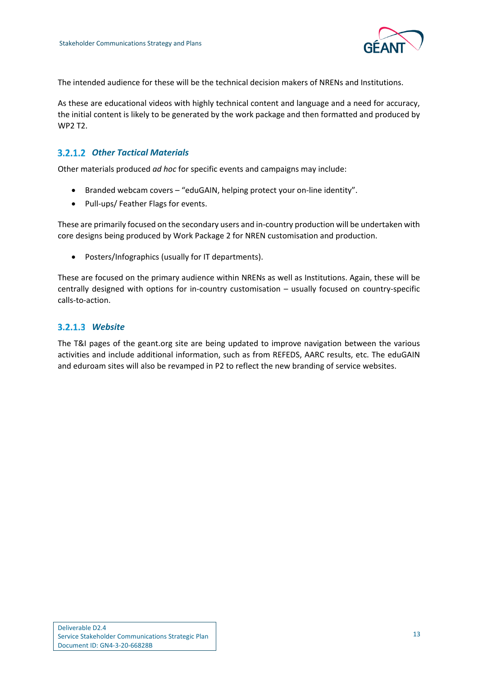

The intended audience for these will be the technical decision makers of NRENs and Institutions.

As these are educational videos with highly technical content and language and a need for accuracy, the initial content is likely to be generated by the work package and then formatted and produced by WP2 T2.

## *Other Tactical Materials*

Other materials produced *ad hoc* for specific events and campaigns may include:

- Branded webcam covers "eduGAIN, helping protect your on-line identity".
- Pull-ups/ Feather Flags for events.

These are primarily focused on the secondary users and in-country production will be undertaken with core designs being produced by Work Package 2 for NREN customisation and production.

• Posters/Infographics (usually for IT departments).

These are focused on the primary audience within NRENs as well as Institutions. Again, these will be centrally designed with options for in-country customisation – usually focused on country-specific calls-to-action.

## *Website*

The T&I pages of the geant.org site are being updated to improve navigation between the various activities and include additional information, such as from REFEDS, AARC results, etc. The eduGAIN and eduroam sites will also be revamped in P2 to reflect the new branding of service websites.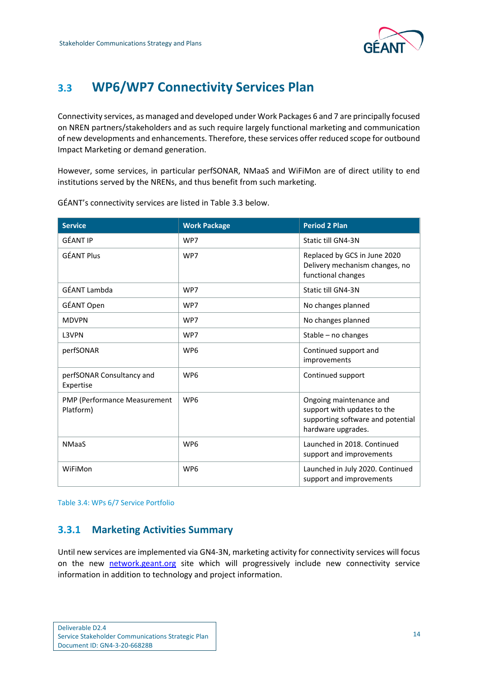

## <span id="page-16-0"></span>**3.3 WP6/WP7 Connectivity Services Plan**

Connectivity services, as managed and developed under Work Packages 6 and 7 are principally focused on NREN partners/stakeholders and as such require largely functional marketing and communication of new developments and enhancements. Therefore, these services offer reduced scope for outbound Impact Marketing or demand generation.

However, some services, in particular perfSONAR, NMaaS and WiFiMon are of direct utility to end institutions served by the NRENs, and thus benefit from such marketing.

| <b>Service</b>                            | <b>Work Package</b> | <b>Period 2 Plan</b>                                                                                              |
|-------------------------------------------|---------------------|-------------------------------------------------------------------------------------------------------------------|
| <b>GÉANT IP</b>                           | WP7                 | Static till GN4-3N                                                                                                |
| <b>GÉANT Plus</b>                         | WP7                 | Replaced by GCS in June 2020<br>Delivery mechanism changes, no<br>functional changes                              |
| GÉANT Lambda                              | WP7                 | Static till GN4-3N                                                                                                |
| GÉANT Open                                | WP7                 | No changes planned                                                                                                |
| <b>MDVPN</b>                              | WP7                 | No changes planned                                                                                                |
| L3VPN                                     | WP7                 | Stable - no changes                                                                                               |
| perfSONAR                                 | WP <sub>6</sub>     | Continued support and<br>improvements                                                                             |
| perfSONAR Consultancy and<br>Expertise    | WP <sub>6</sub>     | Continued support                                                                                                 |
| PMP (Performance Measurement<br>Platform) | WP <sub>6</sub>     | Ongoing maintenance and<br>support with updates to the<br>supporting software and potential<br>hardware upgrades. |
| <b>NMaaS</b>                              | WP <sub>6</sub>     | Launched in 2018. Continued<br>support and improvements                                                           |
| WiFiMon                                   | WP <sub>6</sub>     | Launched in July 2020. Continued<br>support and improvements                                                      |

GÉANT's connectivity services are listed in [Table 3.3](#page-16-2) below.

<span id="page-16-2"></span>Table 3.4: WPs 6/7 Service Portfolio

## <span id="page-16-1"></span>**3.3.1 Marketing Activities Summary**

Until new services are implemented via GN4-3N, marketing activity for connectivity services will focus on the new network.geant.org site which will progressively include new connectivity service information in addition to technology and project information.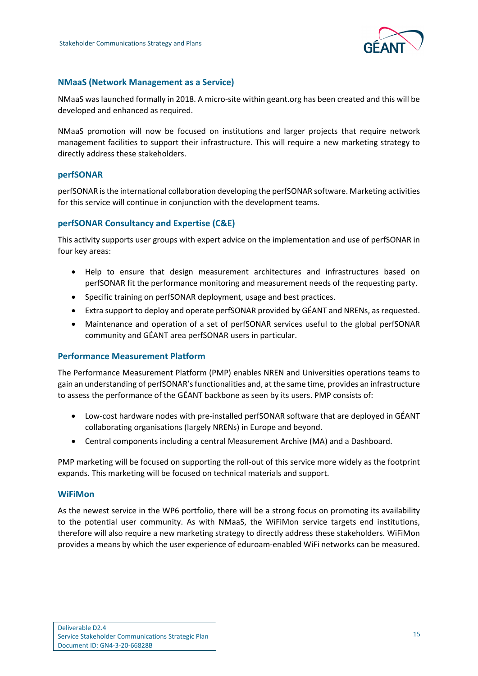

### **NMaaS (Network Management as a Service)**

NMaaS was launched formally in 2018. A micro-site within geant.org has been created and this will be developed and enhanced as required.

NMaaS promotion will now be focused on institutions and larger projects that require network management facilities to support their infrastructure. This will require a new marketing strategy to directly address these stakeholders.

### **perfSONAR**

perfSONAR is the international collaboration developing the perfSONAR software. Marketing activities for this service will continue in conjunction with the development teams.

### **perfSONAR Consultancy and Expertise (C&E)**

This activity supports user groups with expert advice on the implementation and use of perfSONAR in four key areas:

- Help to ensure that design measurement architectures and infrastructures based on perfSONAR fit the performance monitoring and measurement needs of the requesting party.
- Specific training on perfSONAR deployment, usage and best practices.
- Extra support to deploy and operate perfSONAR provided by GÉANT and NRENs, as requested.
- Maintenance and operation of a set of perfSONAR services useful to the global perfSONAR community and GÉANT area perfSONAR users in particular.

### **Performance Measurement Platform**

The Performance Measurement Platform (PMP) enables NREN and Universities operations teams to gain an understanding of perfSONAR's functionalities and, at the same time, provides an infrastructure to assess the performance of the GÉANT backbone as seen by its users. PMP consists of:

- Low-cost hardware nodes with pre-installed perfSONAR software that are deployed in GÉANT collaborating organisations (largely NRENs) in Europe and beyond.
- Central components including a central Measurement Archive (MA) and a Dashboard.

PMP marketing will be focused on supporting the roll-out of this service more widely as the footprint expands. This marketing will be focused on technical materials and support.

### **WiFiMon**

As the newest service in the WP6 portfolio, there will be a strong focus on promoting its availability to the potential user community. As with NMaaS, the WiFiMon service targets end institutions, therefore will also require a new marketing strategy to directly address these stakeholders. WiFiMon provides a means by which the user experience of eduroam-enabled WiFi networks can be measured.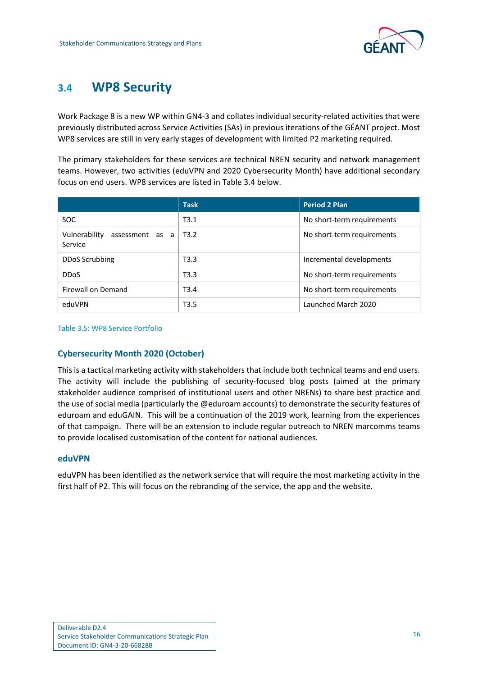

## <span id="page-18-0"></span>**3.4 WP8 Security**

Work Package 8 is a new WP within GN4-3 and collates individual security-related activities that were previously distributed across Service Activities (SAs) in previous iterations of the GÉANT project. Most WP8 services are still in very early stages of development with limited P2 marketing required.

The primary stakeholders for these services are technical NREN security and network management teams. However, two activities (eduVPN and 2020 Cybersecurity Month) have additional secondary focus on end users. WP8 services are listed in [Table 3.4](#page-18-1) below.

|                                          | <b>Task</b>       | <b>Period 2 Plan</b>       |
|------------------------------------------|-------------------|----------------------------|
| <b>SOC</b>                               | T3.1              | No short-term requirements |
| Vulnerability assessment as a<br>Service | T3.2              | No short-term requirements |
| <b>DDoS Scrubbing</b>                    | T3.3              | Incremental developments   |
| <b>DDoS</b>                              | T3.3              | No short-term requirements |
| Firewall on Demand                       | T3.4              | No short-term requirements |
| eduVPN                                   | T <sub>3</sub> .5 | Launched March 2020        |

<span id="page-18-1"></span>Table 3.5: WP8 Service Portfolio

### **Cybersecurity Month 2020 (October)**

This is a tactical marketing activity with stakeholders that include both technical teams and end users. The activity will include the publishing of security-focused blog posts (aimed at the primary stakeholder audience comprised of institutional users and other NRENs) to share best practice and the use of social media (particularly the @eduroam accounts) to demonstrate the security features of eduroam and eduGAIN. This will be a continuation of the 2019 work, learning from the experiences of that campaign. There will be an extension to include regular outreach to NREN marcomms teams to provide localised customisation of the content for national audiences.

### **eduVPN**

eduVPN has been identified as the network service that will require the most marketing activity in the first half of P2. This will focus on the rebranding of the service, the app and the website.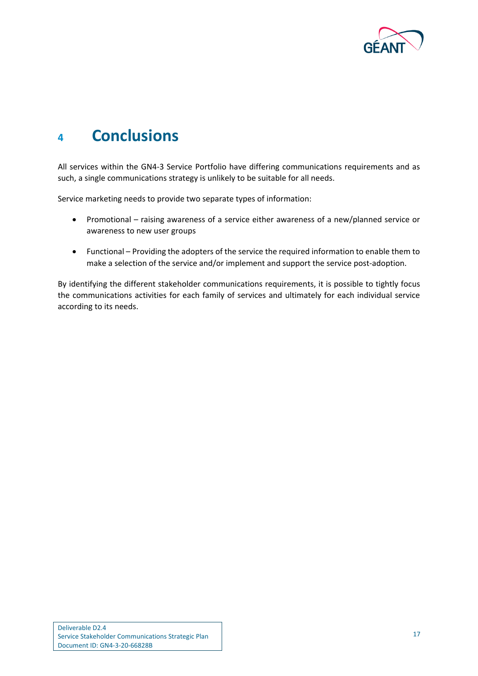

## <span id="page-19-0"></span>**<sup>4</sup> Conclusions**

All services within the GN4-3 Service Portfolio have differing communications requirements and as such, a single communications strategy is unlikely to be suitable for all needs.

Service marketing needs to provide two separate types of information:

- Promotional raising awareness of a service either awareness of a new/planned service or awareness to new user groups
- Functional Providing the adopters of the service the required information to enable them to make a selection of the service and/or implement and support the service post-adoption.

By identifying the different stakeholder communications requirements, it is possible to tightly focus the communications activities for each family of services and ultimately for each individual service according to its needs.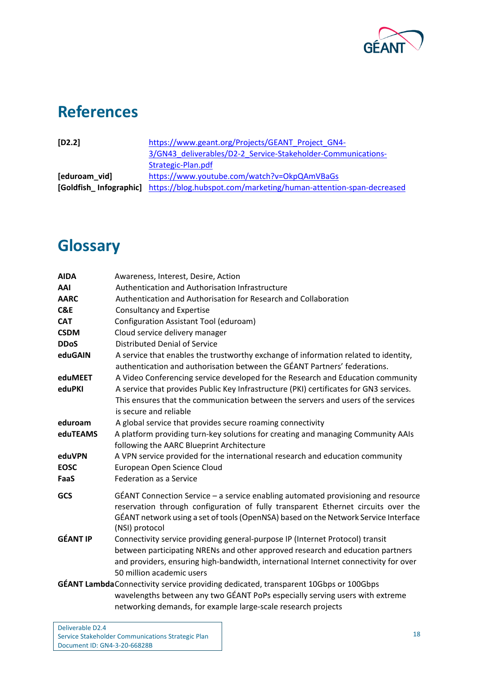

# <span id="page-20-0"></span>**References**

<span id="page-20-3"></span><span id="page-20-2"></span>

| $[D2.2]$      | https://www.geant.org/Projects/GEANT Project GN4-                                        |
|---------------|------------------------------------------------------------------------------------------|
|               | 3/GN43 deliverables/D2-2 Service-Stakeholder-Communications-                             |
|               | Strategic-Plan.pdf                                                                       |
| [eduroam vid] | https://www.youtube.com/watch?v=OkpQAmVBaGs                                              |
|               | [Goldfish_Infographic] https://blog.hubspot.com/marketing/human-attention-span-decreased |
|               |                                                                                          |

# <span id="page-20-1"></span>**Glossary**

| <b>AIDA</b>     | Awareness, Interest, Desire, Action                                                                                                                                                                                                                                                  |
|-----------------|--------------------------------------------------------------------------------------------------------------------------------------------------------------------------------------------------------------------------------------------------------------------------------------|
| AAI             | Authentication and Authorisation Infrastructure                                                                                                                                                                                                                                      |
| <b>AARC</b>     | Authentication and Authorisation for Research and Collaboration                                                                                                                                                                                                                      |
| C&E             | <b>Consultancy and Expertise</b>                                                                                                                                                                                                                                                     |
| <b>CAT</b>      | Configuration Assistant Tool (eduroam)                                                                                                                                                                                                                                               |
| <b>CSDM</b>     | Cloud service delivery manager                                                                                                                                                                                                                                                       |
| <b>DDoS</b>     | <b>Distributed Denial of Service</b>                                                                                                                                                                                                                                                 |
| eduGAIN         | A service that enables the trustworthy exchange of information related to identity,<br>authentication and authorisation between the GÉANT Partners' federations.                                                                                                                     |
| eduMEET         | A Video Conferencing service developed for the Research and Education community                                                                                                                                                                                                      |
| eduPKI          | A service that provides Public Key Infrastructure (PKI) certificates for GN3 services.<br>This ensures that the communication between the servers and users of the services<br>is secure and reliable                                                                                |
| eduroam         | A global service that provides secure roaming connectivity                                                                                                                                                                                                                           |
| eduTEAMS        | A platform providing turn-key solutions for creating and managing Community AAIs<br>following the AARC Blueprint Architecture                                                                                                                                                        |
| eduVPN          | A VPN service provided for the international research and education community                                                                                                                                                                                                        |
| <b>EOSC</b>     | European Open Science Cloud                                                                                                                                                                                                                                                          |
| FaaS            | <b>Federation as a Service</b>                                                                                                                                                                                                                                                       |
| GCS             | GÉANT Connection Service – a service enabling automated provisioning and resource<br>reservation through configuration of fully transparent Ethernet circuits over the<br>GÉANT network using a set of tools (OpenNSA) based on the Network Service Interface<br>(NSI) protocol      |
| <b>GÉANT IP</b> | Connectivity service providing general-purpose IP (Internet Protocol) transit<br>between participating NRENs and other approved research and education partners<br>and providers, ensuring high-bandwidth, international Internet connectivity for over<br>50 million academic users |
|                 | GÉANT Lambda Connectivity service providing dedicated, transparent 10Gbps or 100Gbps                                                                                                                                                                                                 |
|                 | wavelengths between any two GÉANT PoPs especially serving users with extreme                                                                                                                                                                                                         |
|                 | networking demands, for example large-scale research projects                                                                                                                                                                                                                        |